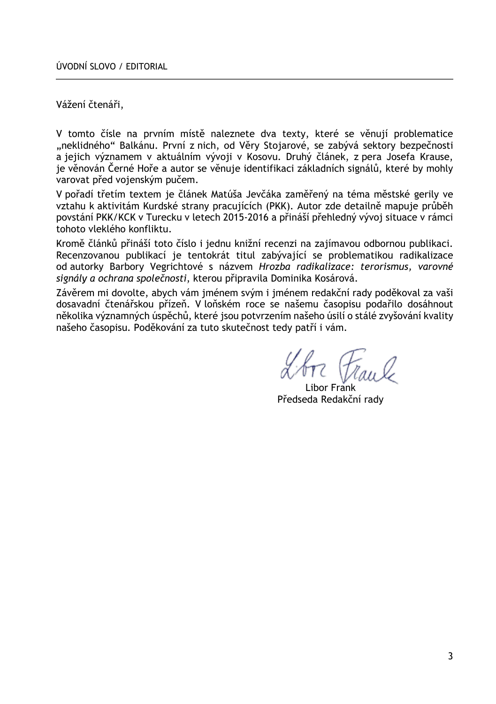Vážení čtenáři,

V tomto čísle na prvním místě naleznete dva texty, které se věnují problematice "neklidného" Balkánu. První z nich, od Věry Stojarové, se zabývá sektory bezpečnosti a jejich významem v aktuálním vývoji v Kosovu. Druhý článek, z pera Josefa Krause, je věnován Černé Hoře a autor se věnuje identifikaci základních signálů, které by mohly varovat před vojenským pučem.

V pořadí třetím textem je článek Matúša Jevčáka zaměřený na téma městské gerily ve vztahu k aktivitám Kurdské strany pracujících (PKK). Autor zde detailně mapuje průběh povstání PKK/KCK v Turecku v letech 2015-2016 a přináší přehledný vývoj situace v rámci tohoto vleklého konfliktu.

Kromě článků přináší toto číslo i jednu knižní recenzi na zajímavou odbornou publikaci. Recenzovanou publikací je tentokrát titul zabývající se problematikou radikalizace od autorky Barbory Vegrichtové s názvem *Hrozba radikalizace: terorismus, varovné signály a ochrana společnosti*, kterou připravila Dominika Kosárová.

Závěrem mi dovolte, abych vám jménem svým i jménem redakční rady poděkoval za vaši dosavadní čtenářskou přízeň. V loňském roce se našemu časopisu podařilo dosáhnout několika významných úspěchů, které jsou potvrzením našeho úsilí o stálé zvyšování kvality našeho časopisu. Poděkování za tuto skutečnost tedy patří i vám.

Libor Frank Předseda Redakční rady